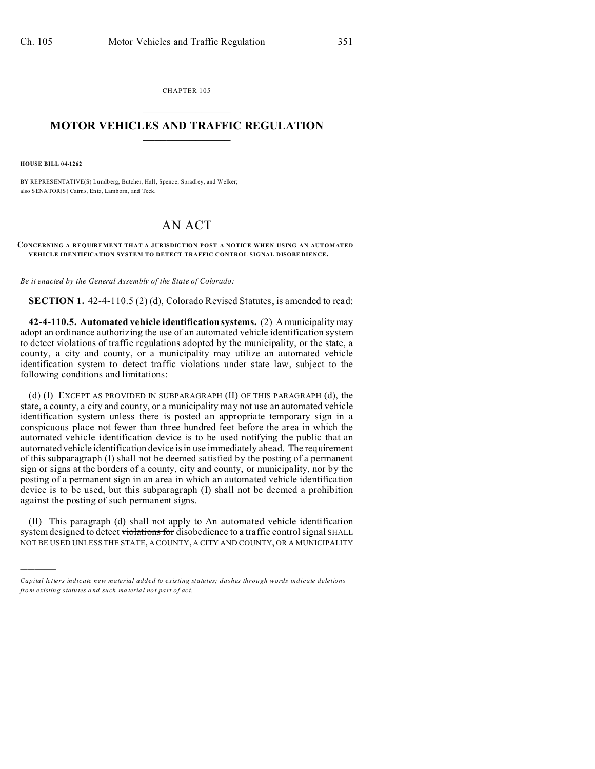CHAPTER 105  $\overline{\phantom{a}}$  , where  $\overline{\phantom{a}}$ 

## **MOTOR VEHICLES AND TRAFFIC REGULATION**  $\frac{1}{2}$  ,  $\frac{1}{2}$  ,  $\frac{1}{2}$  ,  $\frac{1}{2}$  ,  $\frac{1}{2}$  ,  $\frac{1}{2}$  ,  $\frac{1}{2}$

**HOUSE BILL 04-1262**

)))))

BY REPRESENTATIVE(S) Lundberg, Butcher, Hall, Spenc e, Spradl ey, and Welker; also SENATOR(S) Cairns, Entz, Lamb orn, and Teck.

## AN ACT

## **CONCERNING A REQUIREMENT THAT A JURISDICTION POST A NOTICE WHEN USING AN AUTOMATED VEHICLE IDENTIFICATION SYSTEM TO DETECT TRAFFIC CONTROL SIGNAL DISOBE DIENCE.**

*Be it enacted by the General Assembly of the State of Colorado:*

**SECTION 1.** 42-4-110.5 (2) (d), Colorado Revised Statutes, is amended to read:

**42-4-110.5. Automated vehicle identification systems.** (2) A municipality may adopt an ordinance authorizing the use of an automated vehicle identification system to detect violations of traffic regulations adopted by the municipality, or the state, a county, a city and county, or a municipality may utilize an automated vehicle identification system to detect traffic violations under state law, subject to the following conditions and limitations:

(d) (I) EXCEPT AS PROVIDED IN SUBPARAGRAPH (II) OF THIS PARAGRAPH (d), the state, a county, a city and county, or a municipality may not use an automated vehicle identification system unless there is posted an appropriate temporary sign in a conspicuous place not fewer than three hundred feet before the area in which the automated vehicle identification device is to be used notifying the public that an automated vehicle identification device is in use immediately ahead. The requirement of this subparagraph (I) shall not be deemed satisfied by the posting of a permanent sign or signs at the borders of a county, city and county, or municipality, nor by the posting of a permanent sign in an area in which an automated vehicle identification device is to be used, but this subparagraph (I) shall not be deemed a prohibition against the posting of such permanent signs.

(II) This paragraph (d) shall not apply to An automated vehicle identification system designed to detect violations for disobedience to a traffic control signal SHALL NOT BE USED UNLESS THE STATE, A COUNTY, A CITY AND COUNTY, OR A MUNICIPALITY

*Capital letters indicate new material added to existing statutes; dashes through words indicate deletions from e xistin g statu tes a nd such ma teria l no t pa rt of ac t.*